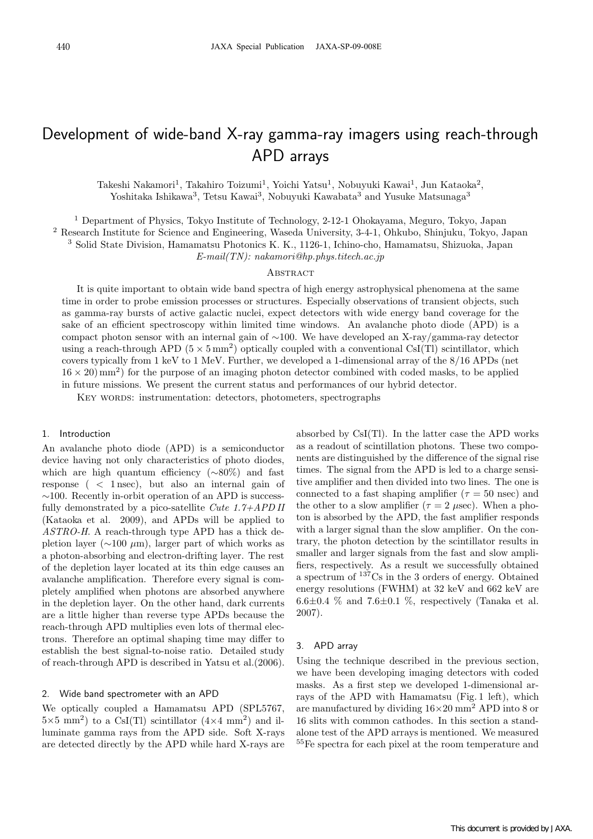# Development of wide-band X-ray gamma-ray imagers using reach-through APD arrays

Takeshi Nakamori<sup>1</sup>, Takahiro Toizumi<sup>1</sup>, Yoichi Yatsu<sup>1</sup>, Nobuyuki Kawai<sup>1</sup>, Jun Kataoka<sup>2</sup>, Yoshitaka Ishikawa<sup>3</sup>, Tetsu Kawai<sup>3</sup>, Nobuyuki Kawabata<sup>3</sup> and Yusuke Matsunaga<sup>3</sup>

<sup>1</sup> Department of Physics, Tokyo Institute of Technology, 2-12-1 Ohokayama, Meguro, Tokyo, Japan

<sup>2</sup> Research Institute for Science and Engineering, Waseda University, 3-4-1, Ohkubo, Shinjuku, Tokyo, Japan

<sup>3</sup> Solid State Division, Hamamatsu Photonics K. K., 1126-1, Ichino-cho, Hamamatsu, Shizuoka, Japan

E-mail(TN): nakamori@hp.phys.titech.ac.jp

#### **ABSTRACT**

It is quite important to obtain wide band spectra of high energy astrophysical phenomena at the same time in order to probe emission processes or structures. Especially observations of transient objects, such as gamma-ray bursts of active galactic nuclei, expect detectors with wide energy band coverage for the sake of an efficient spectroscopy within limited time windows. An avalanche photo diode (APD) is a compact photon sensor with an internal gain of ∼100. We have developed an X-ray/gamma-ray detector using a reach-through APD ( $5 \times 5 \text{ mm}^2$ ) optically coupled with a conventional CsI(Tl) scintillator, which covers typically from 1 keV to 1 MeV. Further, we developed a 1-dimensional array of the 8/16 APDs (net  $16 \times 20 \text{ mm}^2$ ) for the purpose of an imaging photon detector combined with coded masks, to be applied in future missions. We present the current status and performances of our hybrid detector.

KEY WORDS: instrumentation: detectors, photometers, spectrographs

#### 1. Introduction

An avalanche photo diode (APD) is a semiconductor device having not only characteristics of photo diodes, which are high quantum efficiency (∼80%) and fast response ( < 1 nsec), but also an internal gain of ∼100. Recently in-orbit operation of an APD is successfully demonstrated by a pico-satellite Cute  $1.7+APD$  II (Kataoka et al. 2009), and APDs will be applied to ASTRO-H. A reach-through type APD has a thick depletion layer ( $\sim$ 100  $\mu$ m), larger part of which works as a photon-absorbing and electron-drifting layer. The rest of the depletion layer located at its thin edge causes an avalanche amplification. Therefore every signal is completely amplified when photons are absorbed anywhere in the depletion layer. On the other hand, dark currents are a little higher than reverse type APDs because the reach-through APD multiplies even lots of thermal electrons. Therefore an optimal shaping time may differ to establish the best signal-to-noise ratio. Detailed study of reach-through APD is described in Yatsu et al.(2006).

### 2. Wide band spectrometer with an APD

We optically coupled a Hamamatsu APD (SPL5767,  $5\times5$  mm<sup>2</sup>) to a CsI(Tl) scintillator  $(4\times4$  mm<sup>2</sup>) and illuminate gamma rays from the APD side. Soft X-rays are detected directly by the APD while hard X-rays are

absorbed by CsI(Tl). In the latter case the APD works as a readout of scintillation photons. These two components are distinguished by the difference of the signal rise times. The signal from the APD is led to a charge sensitive amplifier and then divided into two lines. The one is connected to a fast shaping amplifier  $(\tau = 50 \text{ nsec})$  and the other to a slow amplifier ( $\tau = 2 \mu$ sec). When a photon is absorbed by the APD, the fast amplifier responds with a larger signal than the slow amplifier. On the contrary, the photon detection by the scintillator results in smaller and larger signals from the fast and slow amplifiers, respectively. As a result we successfully obtained a spectrum of <sup>137</sup>Cs in the 3 orders of energy. Obtained energy resolutions (FWHM) at 32 keV and 662 keV are  $6.6\pm0.4$  % and  $7.6\pm0.1$  %, respectively (Tanaka et al. 2007).

#### 3. APD array

Using the technique described in the previous section, we have been developing imaging detectors with coded masks. As a first step we developed 1-dimensional arrays of the APD with Hamamatsu (Fig. 1 left), which are manufactured by dividing  $16\times20$  mm<sup>2</sup> APD into 8 or 16 slits with common cathodes. In this section a standalone test of the APD arrays is mentioned. We measured <sup>55</sup>Fe spectra for each pixel at the room temperature and